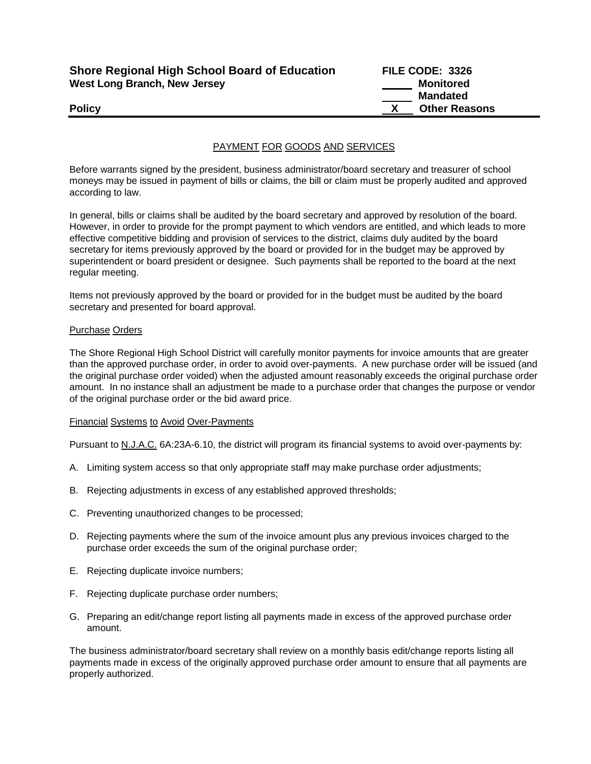| <b>Shore Regional High School Board of Education</b> | FILE CODE: 3326      |
|------------------------------------------------------|----------------------|
| West Long Branch, New Jersey                         | Monitored            |
|                                                      | Mandated             |
| <b>Policy</b>                                        | <b>Other Reasons</b> |

### PAYMENT FOR GOODS AND SERVICES

Before warrants signed by the president, business administrator/board secretary and treasurer of school moneys may be issued in payment of bills or claims, the bill or claim must be properly audited and approved according to law.

In general, bills or claims shall be audited by the board secretary and approved by resolution of the board. However, in order to provide for the prompt payment to which vendors are entitled, and which leads to more effective competitive bidding and provision of services to the district, claims duly audited by the board secretary for items previously approved by the board or provided for in the budget may be approved by superintendent or board president or designee. Such payments shall be reported to the board at the next regular meeting.

Items not previously approved by the board or provided for in the budget must be audited by the board secretary and presented for board approval.

#### Purchase Orders

The Shore Regional High School District will carefully monitor payments for invoice amounts that are greater than the approved purchase order, in order to avoid over-payments. A new purchase order will be issued (and the original purchase order voided) when the adjusted amount reasonably exceeds the original purchase order amount. In no instance shall an adjustment be made to a purchase order that changes the purpose or vendor of the original purchase order or the bid award price.

#### Financial Systems to Avoid Over-Payments

Pursuant to N.J.A.C. 6A:23A-6.10, the district will program its financial systems to avoid over-payments by:

- A. Limiting system access so that only appropriate staff may make purchase order adjustments;
- B. Rejecting adjustments in excess of any established approved thresholds;
- C. Preventing unauthorized changes to be processed;
- D. Rejecting payments where the sum of the invoice amount plus any previous invoices charged to the purchase order exceeds the sum of the original purchase order;
- E. Rejecting duplicate invoice numbers;
- F. Rejecting duplicate purchase order numbers;
- G. Preparing an edit/change report listing all payments made in excess of the approved purchase order amount.

The business administrator/board secretary shall review on a monthly basis edit/change reports listing all payments made in excess of the originally approved purchase order amount to ensure that all payments are properly authorized.